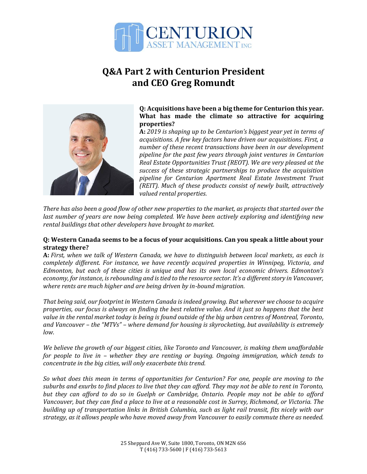

# **Q&A Part 2 with Centurion President and CEO Greg Romundt**



# **Q: Acquisitions have been a big theme for Centurion this year. What has made the climate so attractive for acquiring properties?**

**A:** *2019 is shaping up to be Centurion's biggest year yet in terms of acquisitions. A few key factors have driven our acquisitions. First, a number of these recent transactions have been in our development pipeline for the past few years through joint ventures in Centurion Real Estate Opportunities Trust (REOT). We are very pleased at the success of these strategic partnerships to produce the acquisition pipeline for Centurion Apartment Real Estate Investment Trust (REIT). Much of these products consist of newly built, attractively valued rental properties.*

*There has also been a good flow of other new properties to the market, as projects that started over the last number of years are now being completed. We have been actively exploring and identifying new rental buildings that other developers have brought to market.*

# **Q: Western Canada seems to be a focus of your acquisitions. Can you speak a little about your strategy there?**

**A:** *First, when we talk of Western Canada, we have to distinguish between local markets, as each is completely different. For instance, we have recently acquired properties in Winnipeg, Victoria, and Edmonton, but each of these cities is unique and has its own local economic drivers. Edmonton's economy, for instance, is rebounding and is tied to the resource sector. It's a different story in Vancouver, where rents are much higher and are being driven by in-bound migration.*

*That being said, our footprint in Western Canada is indeed growing. But wherever we choose to acquire properties, our focus is always on finding the best relative value. And it just so happens that the best value in the rental market today is being is found outside of the big urban centres of Montreal, Toronto, and Vancouver – the "MTVs" – where demand for housing is skyrocketing, but availability is extremely low.*

*We believe the growth of our biggest cities, like Toronto and Vancouver, is making them unaffordable for people to live in – whether they are renting or buying. Ongoing immigration, which tends to concentrate in the big cities, will only exacerbate this trend.* 

*So what does this mean in terms of opportunities for Centurion? For one, people are moving to the suburbs and exurbs to find places to live that they can afford. They may not be able to rent in Toronto, but they can afford to do so in Guelph or Cambridge, Ontario. People may not be able to afford Vancouver, but they can find a place to live at a reasonable cost in Surrey, Richmond, or Victoria. The building up of transportation links in British Columbia, such as light rail transit, fits nicely with our strategy, as it allows people who have moved away from Vancouver to easily commute there as needed.*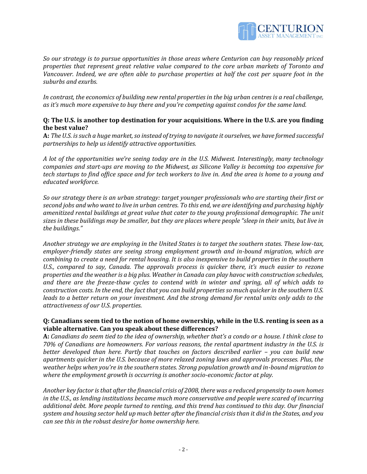

*So our strategy is to pursue opportunities in those areas where Centurion can buy reasonably priced properties that represent great relative value compared to the core urban markets of Toronto and Vancouver. Indeed, we are often able to purchase properties at half the cost per square foot in the suburbs and exurbs.*

*In contrast, the economics of building new rental properties in the big urban centres is a real challenge, as it's much more expensive to buy there and you're competing against condos for the same land.*

# **Q: The U.S. is another top destination for your acquisitions. Where in the U.S. are you finding the best value?**

**A:** *The U.S. is such a huge market, so instead of trying to navigate it ourselves, we have formed successful partnerships to help us identify attractive opportunities.* 

*A lot of the opportunities we're seeing today are in the U.S. Midwest. Interestingly, many technology companies and start-ups are moving to the Midwest, as Silicone Valley is becoming too expensive for tech startups to find office space and for tech workers to live in. And the area is home to a young and educated workforce.*

*So our strategy there is an urban strategy: target younger professionals who are starting their first or second jobs and who want to live in urban centres. To this end, we are identifying and purchasing highly amenitized rental buildings at great value that cater to the young professional demographic. The unit sizes in these buildings may be smaller, but they are places where people "sleep in their units, but live in the buildings."* 

*Another strategy we are employing in the United States is to target the southern states. These low-tax, employer-friendly states are seeing strong employment growth and in-bound migration, which are combining to create a need for rental housing. It is also inexpensive to build properties in the southern U.S., compared to say, Canada. The approvals process is quicker there, it's much easier to rezone properties and the weather is a big plus. Weather in Canada can play havoc with construction schedules, and there are the freeze-thaw cycles to contend with in winter and spring, all of which adds to construction costs. In the end, the fact that you can build properties so much quicker in the southern U.S. leads to a better return on your investment. And the strong demand for rental units only adds to the attractiveness of our U.S. properties.*

# **Q: Canadians seem tied to the notion of home ownership, while in the U.S. renting is seen as a viable alternative. Can you speak about these differences?**

**A:** *Canadians do seem tied to the idea of ownership, whether that's a condo or a house. I think close to 70% of Canadians are homeowners. For various reasons, the rental apartment industry in the U.S. is better developed than here. Partly that touches on factors described earlier – you can build new apartments quicker in the U.S. because of more relaxed zoning laws and approvals processes. Plus, the weather helps when you're in the southern states. Strong population growth and in-bound migration to where the employment growth is occurring is another socio-economic factor at play.*

*Another key factor is that after the financial crisis of 2008, there was a reduced propensity to own homes in the U.S., as lending institutions became much more conservative and people were scared of incurring additional debt. More people turned to renting, and this trend has continued to this day. Our financial system and housing sector held up much better after the financial crisis than it did in the States, and you can see this in the robust desire for home ownership here.*